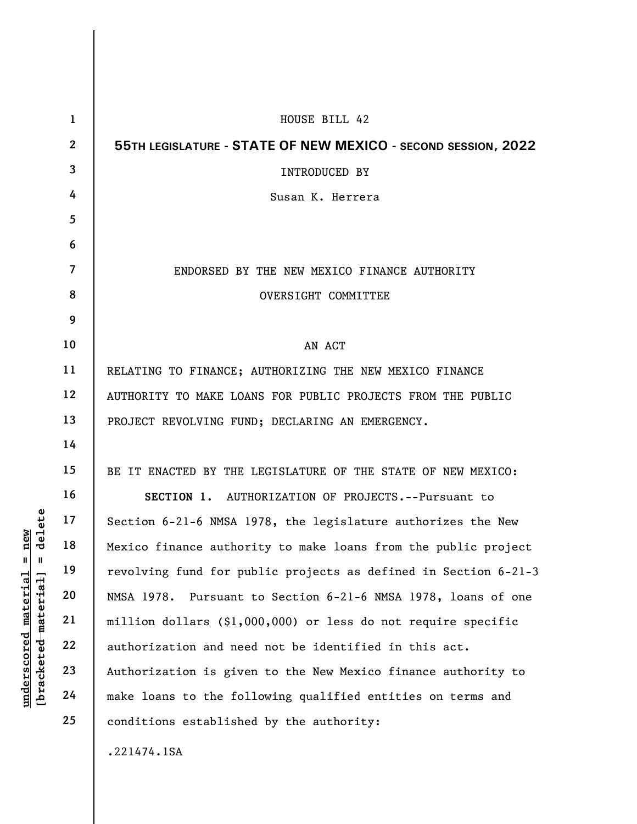|                                                                      | $\mathbf{1}$   | HOUSE BILL 42                                                    |
|----------------------------------------------------------------------|----------------|------------------------------------------------------------------|
|                                                                      | $\mathbf{2}$   | 55TH LEGISLATURE - STATE OF NEW MEXICO - SECOND SESSION, 2022    |
|                                                                      | 3              | <b>INTRODUCED BY</b>                                             |
|                                                                      | 4              | Susan K. Herrera                                                 |
|                                                                      | 5              |                                                                  |
|                                                                      | 6              |                                                                  |
|                                                                      | $\overline{7}$ | ENDORSED BY THE NEW MEXICO FINANCE AUTHORITY                     |
|                                                                      | 8              | OVERSIGHT COMMITTEE                                              |
|                                                                      | 9              |                                                                  |
|                                                                      | 10             | AN ACT                                                           |
|                                                                      | 11             | RELATING TO FINANCE; AUTHORIZING THE NEW MEXICO FINANCE          |
|                                                                      | 12             | AUTHORITY TO MAKE LOANS FOR PUBLIC PROJECTS FROM THE PUBLIC      |
|                                                                      | 13             | PROJECT REVOLVING FUND; DECLARING AN EMERGENCY.                  |
|                                                                      | 14             |                                                                  |
|                                                                      | 15             | BE IT ENACTED BY THE LEGISLATURE OF THE STATE OF NEW MEXICO:     |
|                                                                      | 16             | SECTION 1. AUTHORIZATION OF PROJECTS.--Pursuant to               |
| delete                                                               | 17             | Section 6-21-6 NMSA 1978, the legislature authorizes the New     |
| new                                                                  | 18             | Mexico finance authority to make loans from the public project   |
| $\mathbf{II}$<br>- II                                                | 19             | revolving fund for public projects as defined in Section 6-21-3  |
|                                                                      | 20             | NMSA 1978.<br>Pursuant to Section 6-21-6 NMSA 1978, loans of one |
|                                                                      | 21             | million dollars (\$1,000,000) or less do not require specific    |
|                                                                      | 22             | authorization and need not be identified in this act.            |
|                                                                      | 23             | Authorization is given to the New Mexico finance authority to    |
| underscored material<br>[ <del>brack</del> ete <del>d material</del> | 24             | make loans to the following qualified entities on terms and      |
|                                                                      | 25             | conditions established by the authority:                         |
|                                                                      |                | .221474.1SA                                                      |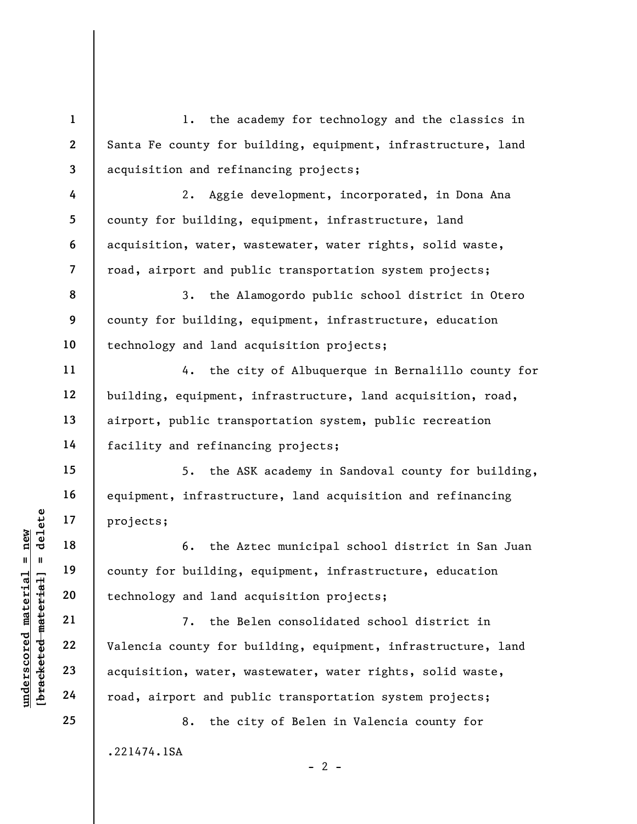understand material material end of the Az<br>
understand material of the Az<br>
understand and a<br>
understand material of the Be<br>
valencia county for be<br>
valencia county for be<br>
valencia county for b<br>
23<br>
24<br>
coad, airport and p 1 2 3 4 5 6 7 8 9 10 11 12 13 14 15 16 17 18 19 20 21 22 23 24 25 1. the academy for technology and the classics in Santa Fe county for building, equipment, infrastructure, land acquisition and refinancing projects; 2. Aggie development, incorporated, in Dona Ana county for building, equipment, infrastructure, land acquisition, water, wastewater, water rights, solid waste, road, airport and public transportation system projects; 3. the Alamogordo public school district in Otero county for building, equipment, infrastructure, education technology and land acquisition projects; 4. the city of Albuquerque in Bernalillo county for building, equipment, infrastructure, land acquisition, road, airport, public transportation system, public recreation facility and refinancing projects; 5. the ASK academy in Sandoval county for building, equipment, infrastructure, land acquisition and refinancing projects; 6. the Aztec municipal school district in San Juan county for building, equipment, infrastructure, education technology and land acquisition projects; 7. the Belen consolidated school district in Valencia county for building, equipment, infrastructure, land acquisition, water, wastewater, water rights, solid waste, road, airport and public transportation system projects;

.221474.1SA

8. the city of Belen in Valencia county for

 $- 2 -$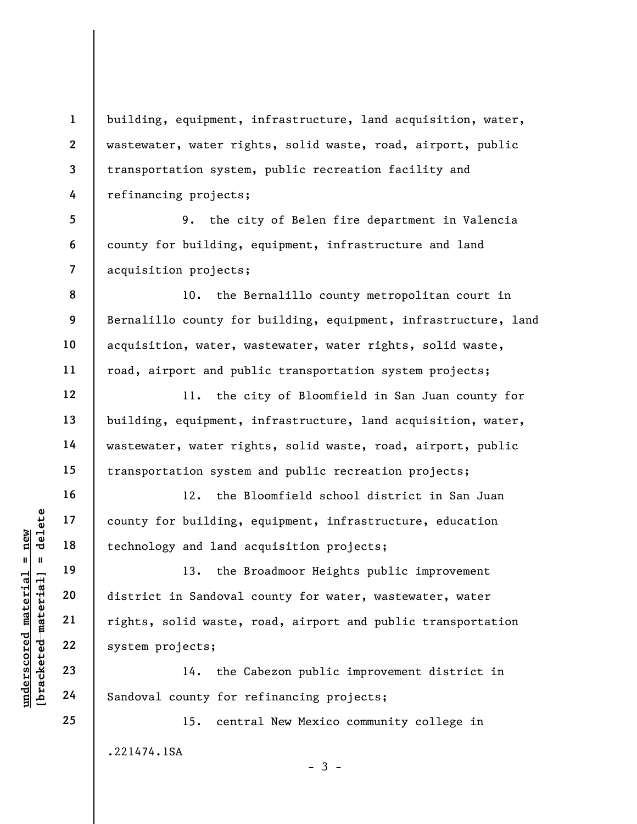1 2 3 4 building, equipment, infrastructure, land acquisition, water, wastewater, water rights, solid waste, road, airport, public transportation system, public recreation facility and refinancing projects;

5 6 7 9. the city of Belen fire department in Valencia county for building, equipment, infrastructure and land acquisition projects;

8 9 10 11 10. the Bernalillo county metropolitan court in Bernalillo county for building, equipment, infrastructure, land acquisition, water, wastewater, water rights, solid waste, road, airport and public transportation system projects;

11. the city of Bloomfield in San Juan county for building, equipment, infrastructure, land acquisition, water, wastewater, water rights, solid waste, road, airport, public transportation system and public recreation projects;

12. the Bloomfield school district in San Juan county for building, equipment, infrastructure, education technology and land acquisition projects;

under 17<br>
and 18<br>
18<br>
19<br>
19<br>
19<br>
13. the B<br>
13. the B<br>
13. the B<br>
13. the B<br>
13. the B<br>
13. the B<br>
13. the B<br>
13. the B<br>
13. the B<br>
13. the B<br>
13. the B<br>
14. the C<br>
14. the C<br>
24<br>
Sandoval county for r 13. the Broadmoor Heights public improvement district in Sandoval county for water, wastewater, water rights, solid waste, road, airport and public transportation system projects;

14. the Cabezon public improvement district in Sandoval county for refinancing projects;

15. central New Mexico community college in .221474.1SA

 $-3 -$ 

12

13

14

15

16

17

18

19

20

21

22

23

24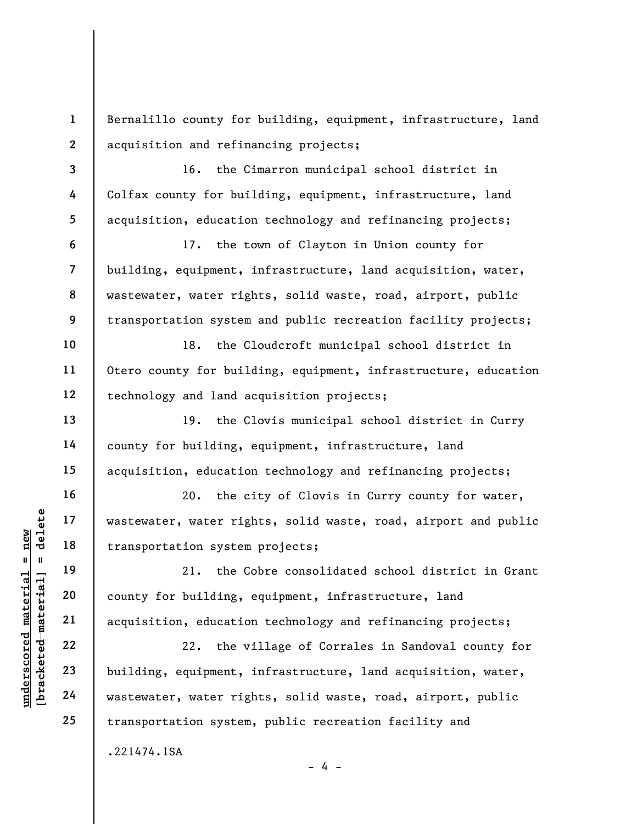2 Bernalillo county for building, equipment, infrastructure, land acquisition and refinancing projects;

16. the Cimarron municipal school district in Colfax county for building, equipment, infrastructure, land acquisition, education technology and refinancing projects;

17. the town of Clayton in Union county for building, equipment, infrastructure, land acquisition, water, wastewater, water rights, solid waste, road, airport, public transportation system and public recreation facility projects;

18. the Cloudcroft municipal school district in Otero county for building, equipment, infrastructure, education technology and land acquisition projects;

19. the Clovis municipal school district in Curry county for building, equipment, infrastructure, land acquisition, education technology and refinancing projects;

20. the city of Clovis in Curry county for water, wastewater, water rights, solid waste, road, airport and public transportation system projects;

21. the Cobre consolidated school district in Grant county for building, equipment, infrastructure, land acquisition, education technology and refinancing projects;

under 17<br>
= 18<br>
= 18<br>
= 19<br>
= 19<br>
= 19<br>
= 21<br>
= 21<br>
= 21<br>
= 21<br>
= 21<br>
= 22<br>
= 22<br>
= 22<br>
= 22<br>
= 22<br>
= 22<br>
= 22<br>
= 24<br>
= 24<br>
= 24<br>
= 24<br>
= 24<br>
= 23<br>
= 24<br>
= 24<br>
= 24<br>
= 24<br>
= 23<br>
= 24<br>
= 24<br>
= 24<br>
= 23<br>
= 24<br>
= 24<br>
= 23<br>
= 22. the village of Corrales in Sandoval county for building, equipment, infrastructure, land acquisition, water, wastewater, water rights, solid waste, road, airport, public transportation system, public recreation facility and .221474.1SA  $- 4 -$ 

1

3

4

5

6

7

8

9

10

11

12

13

14

15

16

17

18

19

20

21

22

23

24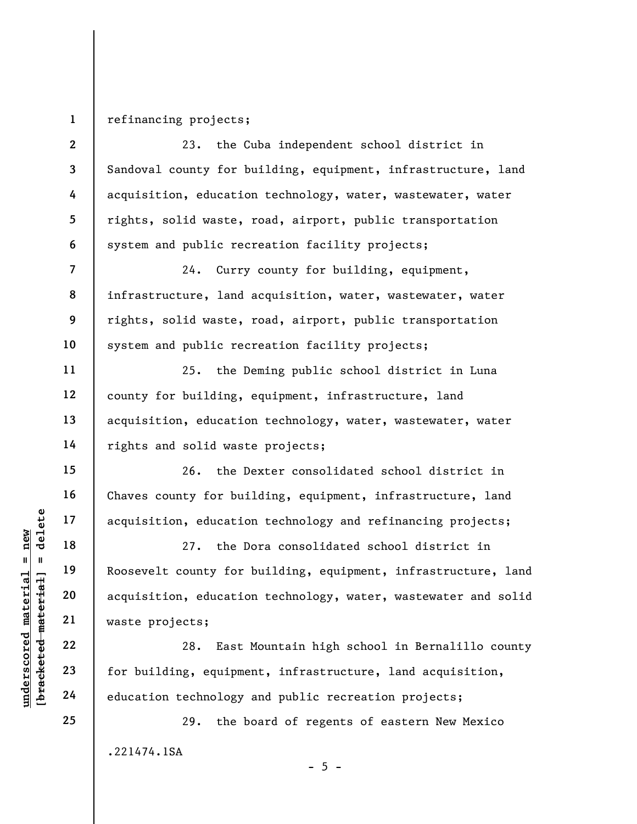## 1 refinancing projects;

2 3 4 5 6 23. the Cuba independent school district in Sandoval county for building, equipment, infrastructure, land acquisition, education technology, water, wastewater, water rights, solid waste, road, airport, public transportation system and public recreation facility projects;

24. Curry county for building, equipment, infrastructure, land acquisition, water, wastewater, water rights, solid waste, road, airport, public transportation system and public recreation facility projects;

25. the Deming public school district in Luna county for building, equipment, infrastructure, land acquisition, education technology, water, wastewater, water rights and solid waste projects;

26. the Dexter consolidated school district in Chaves county for building, equipment, infrastructure, land acquisition, education technology and refinancing projects;

underscored material and the projects;<br>
underscored material and the projects;<br>
21 asset to acquisition, education<br>
22 and the projects;<br>
23 for building, equipme<br>
24 education technology 27. the Dora consolidated school district in Roosevelt county for building, equipment, infrastructure, land acquisition, education technology, water, wastewater and solid waste projects;

28. East Mountain high school in Bernalillo county for building, equipment, infrastructure, land acquisition, education technology and public recreation projects;

29. the board of regents of eastern New Mexico .221474.1SA

 $- 5 -$ 

7

8

9

10

11

12

13

14

15

16

17

18

19

20

21

22

23

24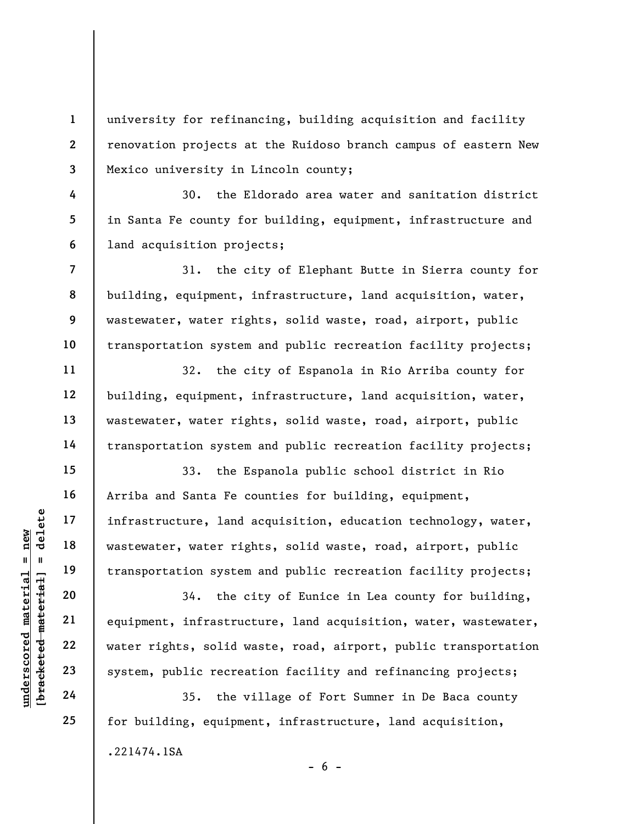2 3 university for refinancing, building acquisition and facility renovation projects at the Ruidoso branch campus of eastern New Mexico university in Lincoln county;

30. the Eldorado area water and sanitation district in Santa Fe county for building, equipment, infrastructure and land acquisition projects;

31. the city of Elephant Butte in Sierra county for building, equipment, infrastructure, land acquisition, water, wastewater, water rights, solid waste, road, airport, public transportation system and public recreation facility projects;

32. the city of Espanola in Rio Arriba county for building, equipment, infrastructure, land acquisition, water, wastewater, water rights, solid waste, road, airport, public transportation system and public recreation facility projects;

33. the Espanola public school district in Rio Arriba and Santa Fe counties for building, equipment, infrastructure, land acquisition, education technology, water, wastewater, water rights, solid waste, road, airport, public transportation system and public recreation facility projects;

understand material material material material material material material material material material discrete<br>gradient material material material material material material material material material material material mate 34. the city of Eunice in Lea county for building, equipment, infrastructure, land acquisition, water, wastewater, water rights, solid waste, road, airport, public transportation system, public recreation facility and refinancing projects;

35. the village of Fort Sumner in De Baca county for building, equipment, infrastructure, land acquisition, .221474.1SA  $- 6 -$ 

1

4

5

6

7

8

9

10

11

12

13

14

15

16

17

18

19

20

21

22

23

24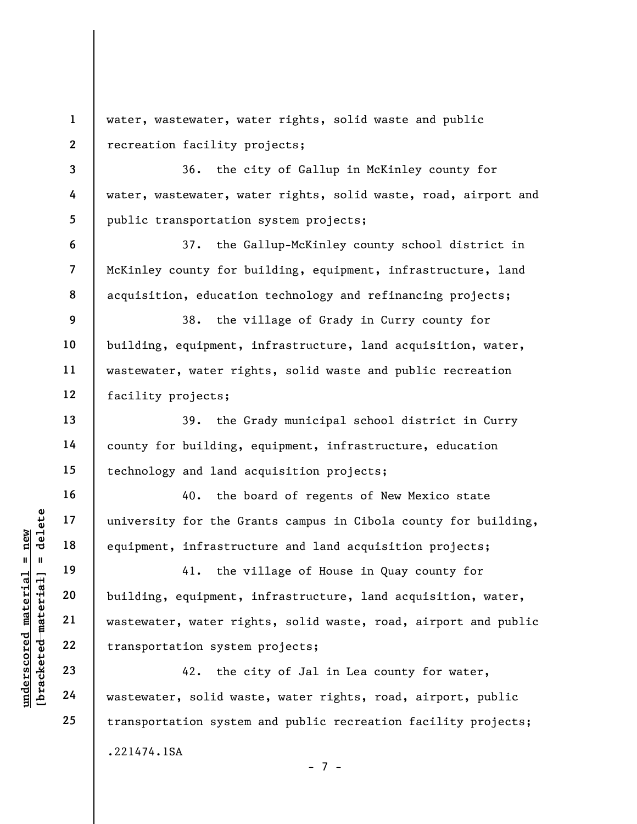1 2 water, wastewater, water rights, solid waste and public recreation facility projects;

36. the city of Gallup in McKinley county for water, wastewater, water rights, solid waste, road, airport and public transportation system projects;

37. the Gallup-McKinley county school district in McKinley county for building, equipment, infrastructure, land acquisition, education technology and refinancing projects;

9 10 11 12 38. the village of Grady in Curry county for building, equipment, infrastructure, land acquisition, water, wastewater, water rights, solid waste and public recreation facility projects;

39. the Grady municipal school district in Curry county for building, equipment, infrastructure, education technology and land acquisition projects;

40. the board of regents of New Mexico state university for the Grants campus in Cibola county for building, equipment, infrastructure and land acquisition projects;

understy for the Grandon Helpen is a sequipment, infrastruced material equipment, infrastruced material equipment,  $\frac{19}{20}$  building, equipment, water rightlend and  $\frac{22}{24}$  examenced material transportation system a 41. the village of House in Quay county for building, equipment, infrastructure, land acquisition, water, wastewater, water rights, solid waste, road, airport and public transportation system projects;

42. the city of Jal in Lea county for water, wastewater, solid waste, water rights, road, airport, public transportation system and public recreation facility projects; .221474.1SA - 7 -

3

4

5

6

7

8

13

14

15

16

17

18

19

20

21

22

23

24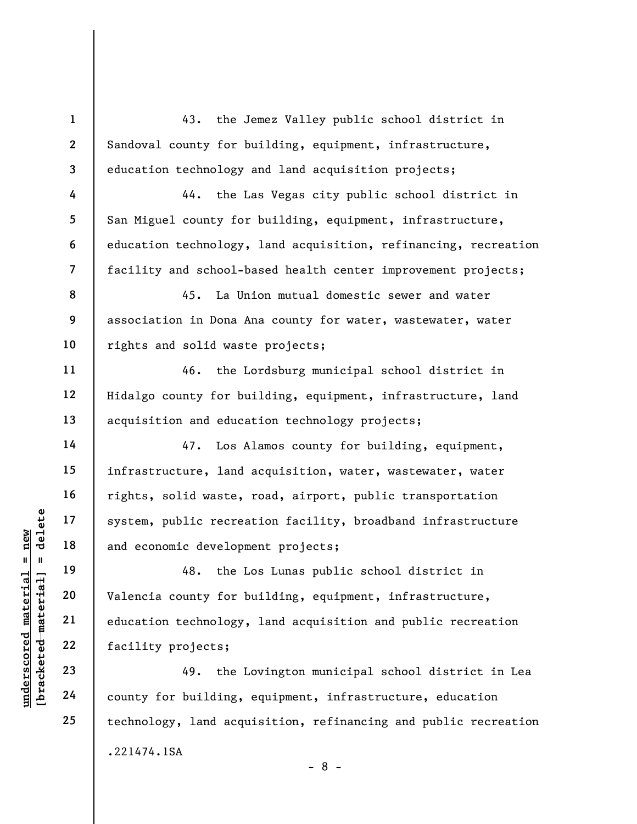understand material material external material and economic developm<br>
and economic developm<br>
48. the L<br>
valencia county for b<br>
valencia county for b<br>
valencia county for b<br>
education technology,<br>
facility projects;<br>
23<br>
49 1 2 3 4 5 6 7 8 9 10 11 12 13 14 15 16 17 18 19 20 21 22 23 24 25 43. the Jemez Valley public school district in Sandoval county for building, equipment, infrastructure, education technology and land acquisition projects; 44. the Las Vegas city public school district in San Miguel county for building, equipment, infrastructure, education technology, land acquisition, refinancing, recreation facility and school-based health center improvement projects; 45. La Union mutual domestic sewer and water association in Dona Ana county for water, wastewater, water rights and solid waste projects; 46. the Lordsburg municipal school district in Hidalgo county for building, equipment, infrastructure, land acquisition and education technology projects; 47. Los Alamos county for building, equipment, infrastructure, land acquisition, water, wastewater, water rights, solid waste, road, airport, public transportation system, public recreation facility, broadband infrastructure and economic development projects; 48. the Los Lunas public school district in Valencia county for building, equipment, infrastructure, education technology, land acquisition and public recreation facility projects; 49. the Lovington municipal school district in Lea county for building, equipment, infrastructure, education technology, land acquisition, refinancing and public recreation .221474.1SA - 8 -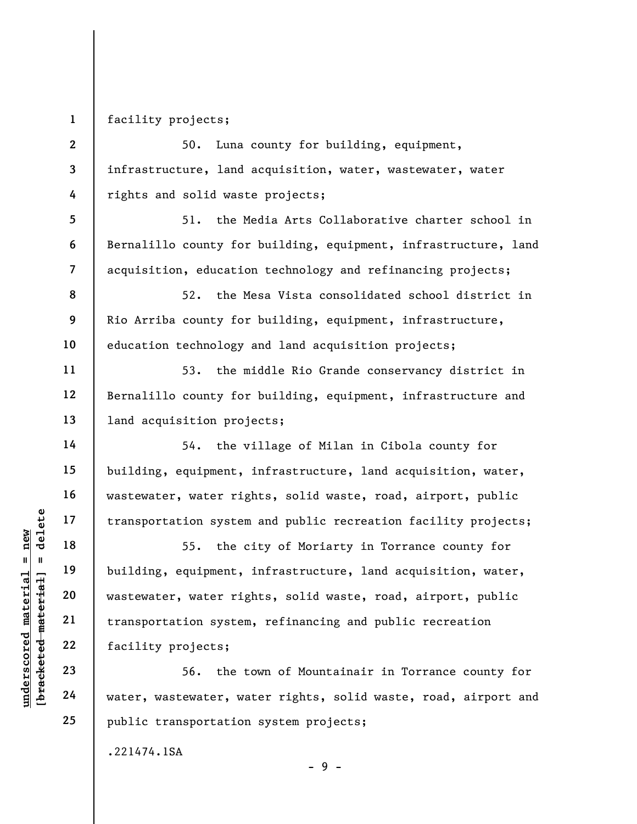1 facility projects;

5

6

7

11

12

13

14

15

16

17

18

19

20

21

22

23

24

25

2 3 4 50. Luna county for building, equipment, infrastructure, land acquisition, water, wastewater, water rights and solid waste projects;

51. the Media Arts Collaborative charter school in Bernalillo county for building, equipment, infrastructure, land acquisition, education technology and refinancing projects;

8 9 10 52. the Mesa Vista consolidated school district in Rio Arriba county for building, equipment, infrastructure, education technology and land acquisition projects;

53. the middle Rio Grande conservancy district in Bernalillo county for building, equipment, infrastructure and land acquisition projects;

54. the village of Milan in Cibola county for building, equipment, infrastructure, land acquisition, water, wastewater, water rights, solid waste, road, airport, public transportation system and public recreation facility projects;

underscored material = new [bracketed material] = delete 55. the city of Moriarty in Torrance county for building, equipment, infrastructure, land acquisition, water, wastewater, water rights, solid waste, road, airport, public transportation system, refinancing and public recreation facility projects;

56. the town of Mountainair in Torrance county for water, wastewater, water rights, solid waste, road, airport and public transportation system projects;

- 9 -

.221474.1SA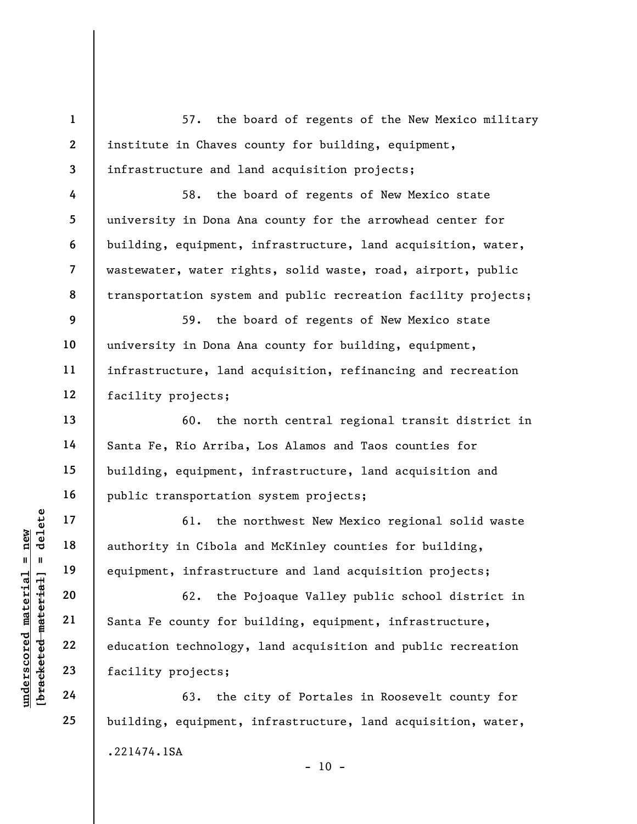1 2 3 57. the board of regents of the New Mexico military institute in Chaves county for building, equipment, infrastructure and land acquisition projects;

58. the board of regents of New Mexico state university in Dona Ana county for the arrowhead center for building, equipment, infrastructure, land acquisition, water, wastewater, water rights, solid waste, road, airport, public transportation system and public recreation facility projects;

9 10 11 12 59. the board of regents of New Mexico state university in Dona Ana county for building, equipment, infrastructure, land acquisition, refinancing and recreation facility projects;

60. the north central regional transit district in Santa Fe, Rio Arriba, Los Alamos and Taos counties for building, equipment, infrastructure, land acquisition and public transportation system projects;

61. the northwest New Mexico regional solid waste authority in Cibola and McKinley counties for building, equipment, infrastructure and land acquisition projects;

understand material material and the material of the material of the material of the material of the material country in Cibola and equipment, infrastruce of the P<br>santa Fe county for b<br>ducation technology, facility projec 62. the Pojoaque Valley public school district in Santa Fe county for building, equipment, infrastructure, education technology, land acquisition and public recreation facility projects;

63. the city of Portales in Roosevelt county for building, equipment, infrastructure, land acquisition, water, .221474.1SA  $- 10 -$ 

4

5

6

7

8

13

14

15

16

17

18

19

20

21

22

23

24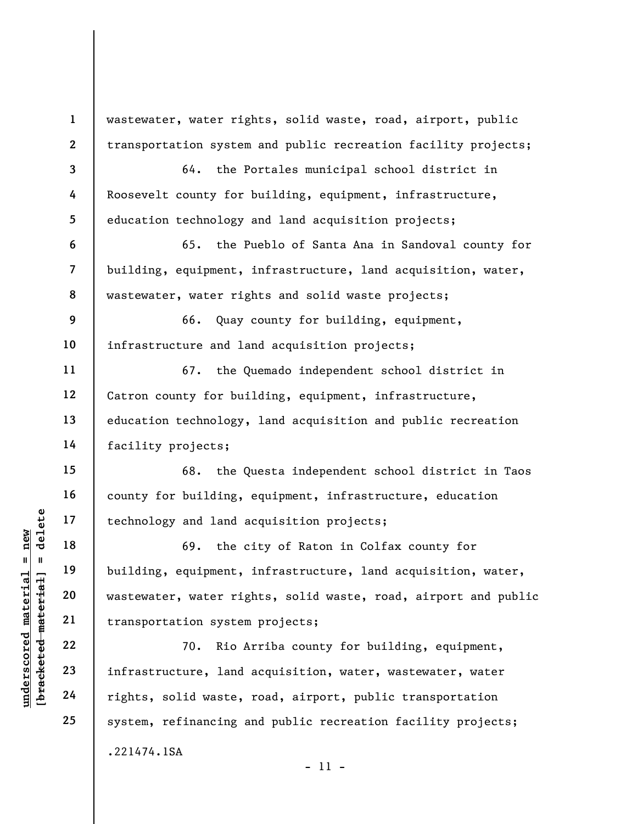1 2 3 4 5 6 7 8 9 10 11 12 13 14 15 16 17 18 wastewater, water rights, solid waste, road, airport, public transportation system and public recreation facility projects; 64. the Portales municipal school district in Roosevelt county for building, equipment, infrastructure, education technology and land acquisition projects; 65. the Pueblo of Santa Ana in Sandoval county for building, equipment, infrastructure, land acquisition, water, wastewater, water rights and solid waste projects; 66. Quay county for building, equipment, infrastructure and land acquisition projects; 67. the Quemado independent school district in Catron county for building, equipment, infrastructure, education technology, land acquisition and public recreation facility projects; 68. the Questa independent school district in Taos county for building, equipment, infrastructure, education technology and land acquisition projects; 69. the city of Raton in Colfax county for

underscored material material end and the corrections of the correct material correct material density and the correct material density of the correct material correct material density of the correct material correct mater building, equipment, infrastructure, land acquisition, water, wastewater, water rights, solid waste, road, airport and public transportation system projects;

70. Rio Arriba county for building, equipment, infrastructure, land acquisition, water, wastewater, water rights, solid waste, road, airport, public transportation system, refinancing and public recreation facility projects; .221474.1SA - 11 -

19

20

21

22

23

24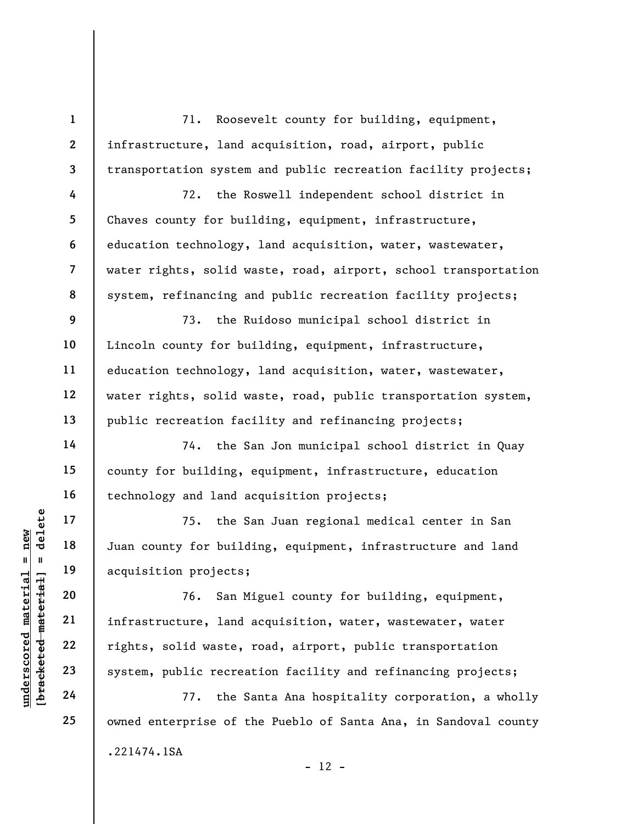71. Roosevelt county for building, equipment, infrastructure, land acquisition, road, airport, public transportation system and public recreation facility projects;

72. the Roswell independent school district in Chaves county for building, equipment, infrastructure, education technology, land acquisition, water, wastewater, water rights, solid waste, road, airport, school transportation system, refinancing and public recreation facility projects;

73. the Ruidoso municipal school district in Lincoln county for building, equipment, infrastructure, education technology, land acquisition, water, wastewater, water rights, solid waste, road, public transportation system, public recreation facility and refinancing projects;

74. the San Jon municipal school district in Quay county for building, equipment, infrastructure, education technology and land acquisition projects;

75. the San Juan regional medical center in San Juan county for building, equipment, infrastructure and land acquisition projects;

underscored material = new [bracketed material] = delete 76. San Miguel county for building, equipment, infrastructure, land acquisition, water, wastewater, water rights, solid waste, road, airport, public transportation system, public recreation facility and refinancing projects;

77. the Santa Ana hospitality corporation, a wholly owned enterprise of the Pueblo of Santa Ana, in Sandoval county .221474.1SA  $- 12 -$ 

1

2

3

4

5

6

7

8

9

10

11

12

13

14

15

16

17

18

19

20

21

22

23

24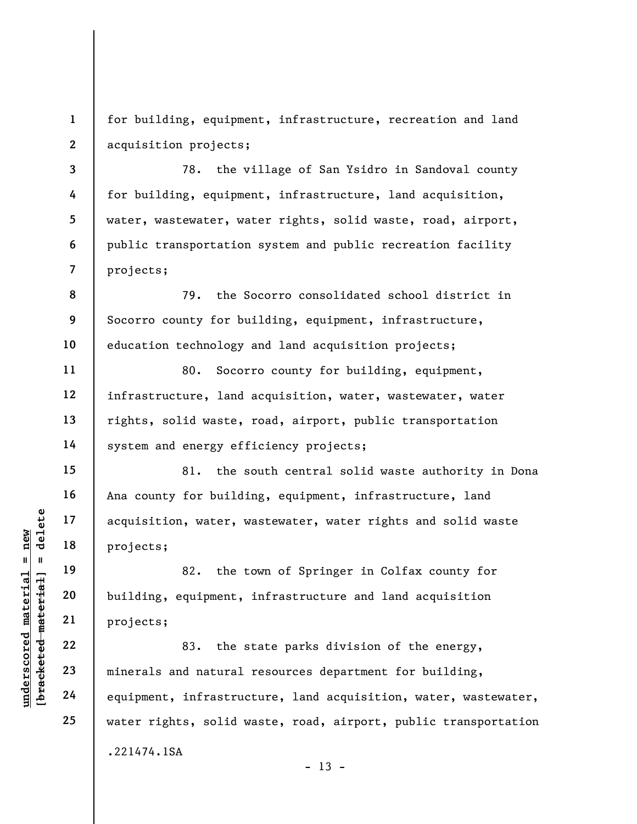1 2 for building, equipment, infrastructure, recreation and land acquisition projects;

78. the village of San Ysidro in Sandoval county for building, equipment, infrastructure, land acquisition, water, wastewater, water rights, solid waste, road, airport, public transportation system and public recreation facility projects;

8 9 10 79. the Socorro consolidated school district in Socorro county for building, equipment, infrastructure, education technology and land acquisition projects;

80. Socorro county for building, equipment, infrastructure, land acquisition, water, wastewater, water rights, solid waste, road, airport, public transportation system and energy efficiency projects;

81. the south central solid waste authority in Dona Ana county for building, equipment, infrastructure, land acquisition, water, wastewater, water rights and solid waste projects;

82. the town of Springer in Colfax county for building, equipment, infrastructure and land acquisition projects;

understand material material projects;<br>
and the material projects;<br>
all materials are distinguished:<br>
all material projects;<br>
22<br>
all materials and natural<br>
24<br>
all material equipment, infrastruc 83. the state parks division of the energy, minerals and natural resources department for building, equipment, infrastructure, land acquisition, water, wastewater, water rights, solid waste, road, airport, public transportation .221474.1SA  $- 13 -$ 

3

4

5

6

7

11

12

13

14

15

16

17

18

19

20

21

22

23

24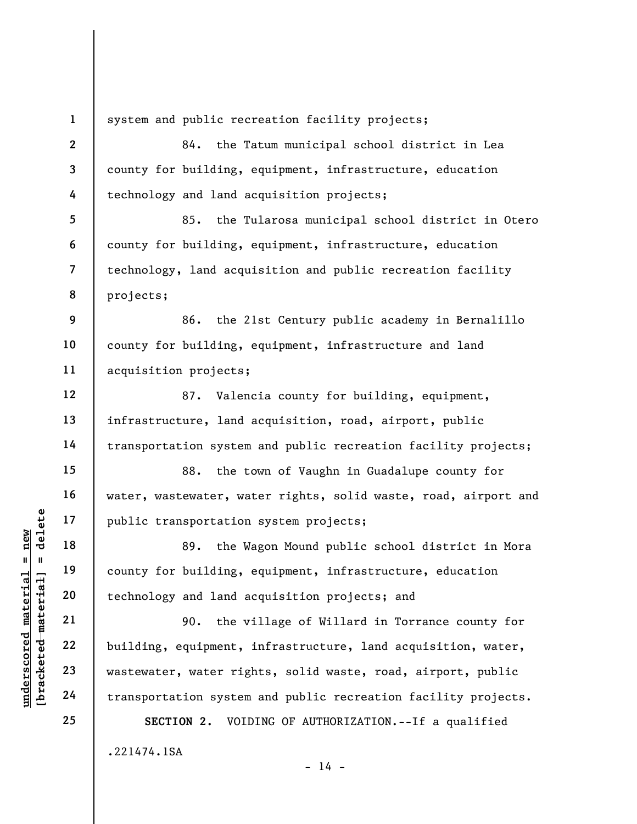underscored material = new [bracketed material] = delete 1 2 3 4 5 6 7 8 9 10 11 12 13 14 15 16 17 18 19 20 21 22 23 24 25 system and public recreation facility projects; 84. the Tatum municipal school district in Lea county for building, equipment, infrastructure, education technology and land acquisition projects; 85. the Tularosa municipal school district in Otero county for building, equipment, infrastructure, education technology, land acquisition and public recreation facility projects; 86. the 21st Century public academy in Bernalillo county for building, equipment, infrastructure and land acquisition projects; 87. Valencia county for building, equipment, infrastructure, land acquisition, road, airport, public transportation system and public recreation facility projects; 88. the town of Vaughn in Guadalupe county for water, wastewater, water rights, solid waste, road, airport and public transportation system projects; 89. the Wagon Mound public school district in Mora county for building, equipment, infrastructure, education technology and land acquisition projects; and 90. the village of Willard in Torrance county for building, equipment, infrastructure, land acquisition, water, wastewater, water rights, solid waste, road, airport, public transportation system and public recreation facility projects. SECTION 2. VOIDING OF AUTHORIZATION.--If a qualified

 $- 14 -$ 

.221474.1SA